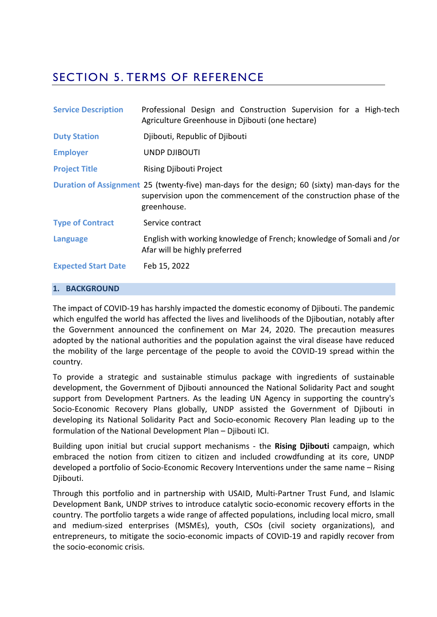# SECTION 5. TERMS OF REFERENCE

| <b>Service Description</b> | Professional Design and Construction Supervision for a High-tech<br>Agriculture Greenhouse in Djibouti (one hectare)                                                              |
|----------------------------|-----------------------------------------------------------------------------------------------------------------------------------------------------------------------------------|
| <b>Duty Station</b>        | Djibouti, Republic of Djibouti                                                                                                                                                    |
| <b>Employer</b>            | UNDP DJIBOUTI                                                                                                                                                                     |
| <b>Project Title</b>       | <b>Rising Djibouti Project</b>                                                                                                                                                    |
|                            | Duration of Assignment 25 (twenty-five) man-days for the design; 60 (sixty) man-days for the<br>supervision upon the commencement of the construction phase of the<br>greenhouse. |
| <b>Type of Contract</b>    | Service contract                                                                                                                                                                  |
| <b>Language</b>            | English with working knowledge of French; knowledge of Somali and /or<br>Afar will be highly preferred                                                                            |
| <b>Expected Start Date</b> | Feb 15, 2022                                                                                                                                                                      |

# **1. BACKGROUND**

The impact of COVID-19 has harshly impacted the domestic economy of Djibouti. The pandemic which engulfed the world has affected the lives and livelihoods of the Djiboutian, notably after the Government announced the confinement on Mar 24, 2020. The precaution measures adopted by the national authorities and the population against the viral disease have reduced the mobility of the large percentage of the people to avoid the COVID-19 spread within the country.

To provide a strategic and sustainable stimulus package with ingredients of sustainable development, the Government of Djibouti announced the National Solidarity Pact and sought support from Development Partners. As the leading UN Agency in supporting the country's Socio-Economic Recovery Plans globally, UNDP assisted the Government of Djibouti in developing its National Solidarity Pact and Socio-economic Recovery Plan leading up to the formulation of the National Development Plan – Djibouti ICI.

Building upon initial but crucial support mechanisms - the **Rising Djibouti** campaign, which embraced the notion from citizen to citizen and included crowdfunding at its core, UNDP developed a portfolio of Socio-Economic Recovery Interventions under the same name – Rising Djibouti.

Through this portfolio and in partnership with USAID, Multi-Partner Trust Fund, and Islamic Development Bank, UNDP strives to introduce catalytic socio-economic recovery efforts in the country. The portfolio targets a wide range of affected populations, including local micro, small and medium-sized enterprises (MSMEs), youth, CSOs (civil society organizations), and entrepreneurs, to mitigate the socio-economic impacts of COVID-19 and rapidly recover from the socio-economic crisis.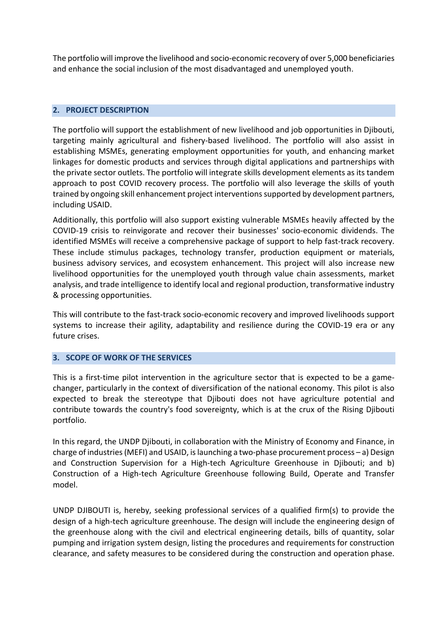The portfolio will improve the livelihood and socio-economic recovery of over 5,000 beneficiaries and enhance the social inclusion of the most disadvantaged and unemployed youth.

# **2. PROJECT DESCRIPTION**

The portfolio will support the establishment of new livelihood and job opportunities in Djibouti, targeting mainly agricultural and fishery-based livelihood. The portfolio will also assist in establishing MSMEs, generating employment opportunities for youth, and enhancing market linkages for domestic products and services through digital applications and partnerships with the private sector outlets. The portfolio will integrate skills development elements as its tandem approach to post COVID recovery process. The portfolio will also leverage the skills of youth trained by ongoing skill enhancement project interventions supported by development partners, including USAID.

Additionally, this portfolio will also support existing vulnerable MSMEs heavily affected by the COVID-19 crisis to reinvigorate and recover their businesses' socio-economic dividends. The identified MSMEs will receive a comprehensive package of support to help fast-track recovery. These include stimulus packages, technology transfer, production equipment or materials, business advisory services, and ecosystem enhancement. This project will also increase new livelihood opportunities for the unemployed youth through value chain assessments, market analysis, and trade intelligence to identify local and regional production, transformative industry & processing opportunities.

This will contribute to the fast-track socio-economic recovery and improved livelihoods support systems to increase their agility, adaptability and resilience during the COVID-19 era or any future crises.

### **3. SCOPE OF WORK OF THE SERVICES**

This is a first-time pilot intervention in the agriculture sector that is expected to be a gamechanger, particularly in the context of diversification of the national economy. This pilot is also expected to break the stereotype that Djibouti does not have agriculture potential and contribute towards the country's food sovereignty, which is at the crux of the Rising Djibouti portfolio.

In this regard, the UNDP Djibouti, in collaboration with the Ministry of Economy and Finance, in charge of industries (MEFI) and USAID, is launching a two-phase procurement process – a) Design and Construction Supervision for a High-tech Agriculture Greenhouse in Djibouti; and b) Construction of a High-tech Agriculture Greenhouse following Build, Operate and Transfer model.

UNDP DJIBOUTI is, hereby, seeking professional services of a qualified firm(s) to provide the design of a high-tech agriculture greenhouse. The design will include the engineering design of the greenhouse along with the civil and electrical engineering details, bills of quantity, solar pumping and irrigation system design, listing the procedures and requirements for construction clearance, and safety measures to be considered during the construction and operation phase.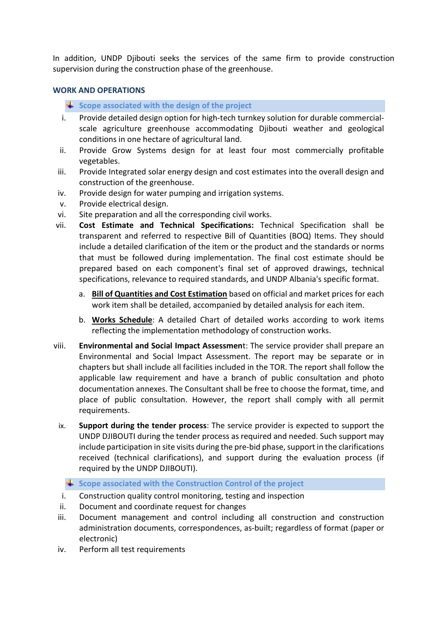In addition, UNDP Djibouti seeks the services of the same firm to provide construction supervision during the construction phase of the greenhouse.

# **WORK AND OPERATIONS**

# **Scope associated with the design of the project**

- i. Provide detailed design option for high-tech turnkey solution for durable commercialscale agriculture greenhouse accommodating Djibouti weather and geological conditions in one hectare of agricultural land.
- ii. Provide Grow Systems design for at least four most commercially profitable vegetables.
- iii. Provide Integrated solar energy design and cost estimates into the overall design and construction of the greenhouse.
- iv. Provide design for water pumping and irrigation systems.
- v. Provide electrical design.
- vi. Site preparation and all the corresponding civil works.
- vii. **Cost Estimate and Technical Specifications:** Technical Specification shall be transparent and referred to respective Bill of Quantities (BOQ) Items. They should include a detailed clarification of the item or the product and the standards or norms that must be followed during implementation. The final cost estimate should be prepared based on each component's final set of approved drawings, technical specifications, relevance to required standards, and UNDP Albania's specific format.
	- a. **Bill of Quantities and Cost Estimation** based on official and market prices for each work item shall be detailed, accompanied by detailed analysis for each item.
	- b. **Works Schedule**: A detailed Chart of detailed works according to work items reflecting the implementation methodology of construction works.
- viii. **Environmental and Social Impact Assessmen**t: The service provider shall prepare an Environmental and Social Impact Assessment. The report may be separate or in chapters but shall include all facilities included in the TOR. The report shall follow the applicable law requirement and have a branch of public consultation and photo documentation annexes. The Consultant shall be free to choose the format, time, and place of public consultation. However, the report shall comply with all permit requirements.
	- ix. **Support during the tender process**: The service provider is expected to support the UNDP DJIBOUTI during the tender process as required and needed. Such support may include participation in site visits during the pre-bid phase, support in the clarifications received (technical clarifications), and support during the evaluation process (if required by the UNDP DJIBOUTI).
		- **Scope associated with the Construction Control of the project**
	- i. Construction quality control monitoring, testing and inspection
	- ii. Document and coordinate request for changes
	- iii. Document management and control including all construction and construction administration documents, correspondences, as-built; regardless of format (paper or electronic)
	- iv. Perform all test requirements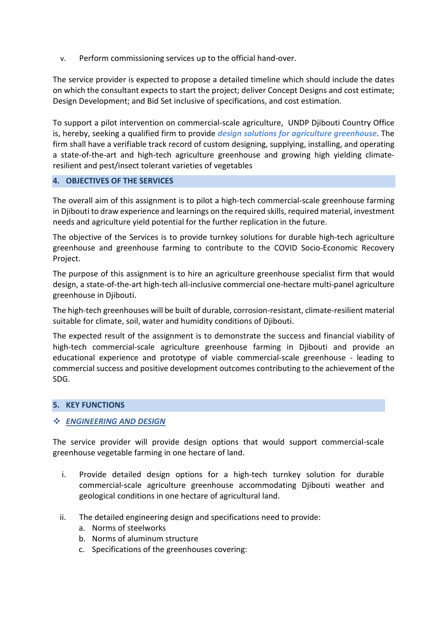v. Perform commissioning services up to the official hand-over.

The service provider is expected to propose a detailed timeline which should include the dates on which the consultant expects to start the project; deliver Concept Designs and cost estimate; Design Development; and Bid Set inclusive of specifications, and cost estimation.

To support a pilot intervention on commercial-scale agriculture, UNDP Djibouti Country Office is, hereby, seeking a qualified firm to provide *design solutions for agriculture greenhouse*. The firm shall have a verifiable track record of custom designing, supplying, installing, and operating a state-of-the-art and high-tech agriculture greenhouse and growing high yielding climateresilient and pest/insect tolerant varieties of vegetables

# **4. OBJECTIVES OF THE SERVICES**

The overall aim of this assignment is to pilot a high-tech commercial-scale greenhouse farming in Djibouti to draw experience and learnings on the required skills, required material, investment needs and agriculture yield potential for the further replication in the future.

The objective of the Services is to provide turnkey solutions for durable high-tech agriculture greenhouse and greenhouse farming to contribute to the COVID Socio-Economic Recovery Project.

The purpose of this assignment is to hire an agriculture greenhouse specialist firm that would design, a state-of-the-art high-tech all-inclusive commercial one-hectare multi-panel agriculture greenhouse in Djibouti.

The high-tech greenhouses will be built of durable, corrosion-resistant, climate-resilient material suitable for climate, soil, water and humidity conditions of Djibouti.

The expected result of the assignment is to demonstrate the success and financial viability of high-tech commercial-scale agriculture greenhouse farming in Djibouti and provide an educational experience and prototype of viable commercial-scale greenhouse - leading to commercial success and positive development outcomes contributing to the achievement of the SDG.

### **5. KEY FUNCTIONS**

# *ENGINEERING AND DESIGN*

The service provider will provide design options that would support commercial-scale greenhouse vegetable farming in one hectare of land.

- i. Provide detailed design options for a high-tech turnkey solution for durable commercial-scale agriculture greenhouse accommodating Djibouti weather and geological conditions in one hectare of agricultural land.
- ii. The detailed engineering design and specifications need to provide:
	- a. Norms of steelworks
	- b. Norms of aluminum structure
	- c. Specifications of the greenhouses covering: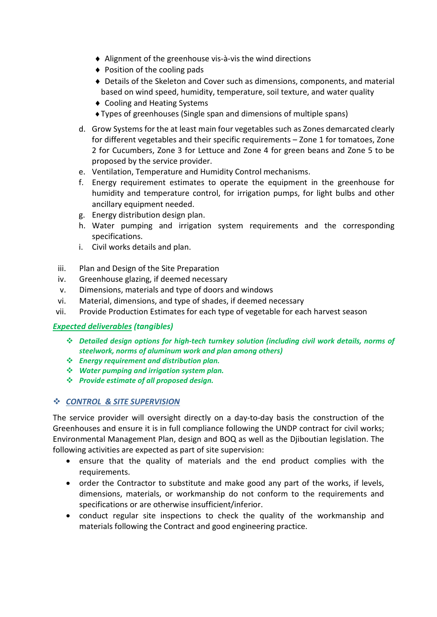- ♦ Alignment of the greenhouse vis-à-vis the wind directions
- ♦ Position of the cooling pads
- ♦ Details of the Skeleton and Cover such as dimensions, components, and material based on wind speed, humidity, temperature, soil texture, and water quality
- ♦ Cooling and Heating Systems
- ♦Types of greenhouses (Single span and dimensions of multiple spans)
- d. Grow Systems for the at least main four vegetables such as Zones demarcated clearly for different vegetables and their specific requirements – Zone 1 for tomatoes, Zone 2 for Cucumbers, Zone 3 for Lettuce and Zone 4 for green beans and Zone 5 to be proposed by the service provider.
- e. Ventilation, Temperature and Humidity Control mechanisms.
- f. Energy requirement estimates to operate the equipment in the greenhouse for humidity and temperature control, for irrigation pumps, for light bulbs and other ancillary equipment needed.
- g. Energy distribution design plan.
- h. Water pumping and irrigation system requirements and the corresponding specifications.
- i. Civil works details and plan.
- iii. Plan and Design of the Site Preparation
- iv. Greenhouse glazing, if deemed necessary
- v. Dimensions, materials and type of doors and windows
- vi. Material, dimensions, and type of shades, if deemed necessary
- vii. Provide Production Estimates for each type of vegetable for each harvest season

### *Expected deliverables (tangibles)*

- *Detailed design options for high-tech turnkey solution (including civil work details, norms of steelwork, norms of aluminum work and plan among others)*
- *Energy requirement and distribution plan.*
- *Water pumping and irrigation system plan.*
- *Provide estimate of all proposed design.*

# *CONTROL & SITE SUPERVISION*

The service provider will oversight directly on a day-to-day basis the construction of the Greenhouses and ensure it is in full compliance following the UNDP contract for civil works; Environmental Management Plan, design and BOQ as well as the Djiboutian legislation. The following activities are expected as part of site supervision:

- ensure that the quality of materials and the end product complies with the requirements.
- order the Contractor to substitute and make good any part of the works, if levels, dimensions, materials, or workmanship do not conform to the requirements and specifications or are otherwise insufficient/inferior.
- conduct regular site inspections to check the quality of the workmanship and materials following the Contract and good engineering practice.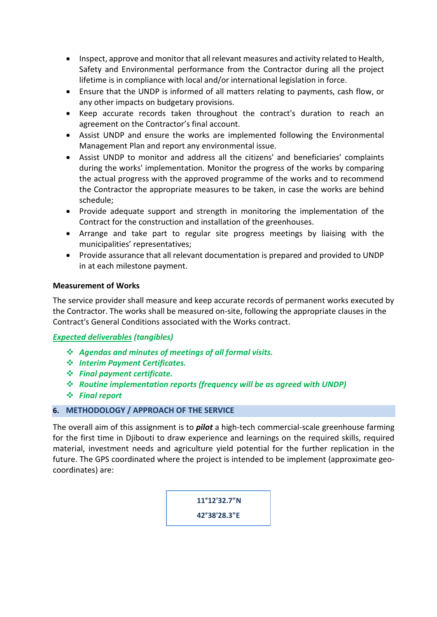- Inspect, approve and monitor that all relevant measures and activity related to Health, Safety and Environmental performance from the Contractor during all the project lifetime is in compliance with local and/or international legislation in force.
- Ensure that the UNDP is informed of all matters relating to payments, cash flow, or any other impacts on budgetary provisions.
- Keep accurate records taken throughout the contract's duration to reach an agreement on the Contractor's final account.
- Assist UNDP and ensure the works are implemented following the Environmental Management Plan and report any environmental issue.
- Assist UNDP to monitor and address all the citizens' and beneficiaries' complaints during the works' implementation. Monitor the progress of the works by comparing the actual progress with the approved programme of the works and to recommend the Contractor the appropriate measures to be taken, in case the works are behind schedule;
- Provide adequate support and strength in monitoring the implementation of the Contract for the construction and installation of the greenhouses.
- Arrange and take part to regular site progress meetings by liaising with the municipalities' representatives;
- Provide assurance that all relevant documentation is prepared and provided to UNDP in at each milestone payment.

# **Measurement of Works**

The service provider shall measure and keep accurate records of permanent works executed by the Contractor. The works shall be measured on-site, following the appropriate clauses in the Contract's General Conditions associated with the Works contract.

### *Expected deliverables (tangibles)*

- *Agendas and minutes of meetings of all formal visits.*
- *Interim Payment Certificates.*
- *Final payment certificate.*
- *Routine implementation reports (frequency will be as agreed with UNDP)*
- *Final report*

# **6. METHODOLOGY / APPROACH OF THE SERVICE**

The overall aim of this assignment is to *pilot* a high-tech commercial-scale greenhouse farming for the first time in Djibouti to draw experience and learnings on the required skills, required material, investment needs and agriculture yield potential for the further replication in the future. The GPS coordinated where the project is intended to be implement (approximate geocoordinates) are:

> **11°12'32.7"N 42°38'28.3"E**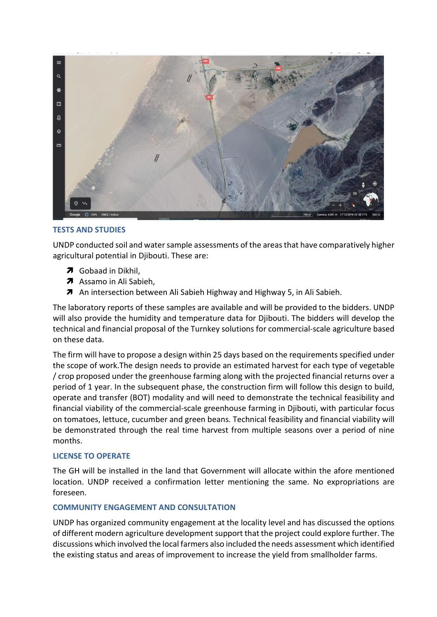

# **TESTS AND STUDIES**

UNDP conducted soil and water sample assessments of the areas that have comparatively higher agricultural potential in Djibouti. These are:

- **7** Gobaad in Dikhil,
- $\lambda$  Assamo in Ali Sabieh.
- An intersection between Ali Sabieh Highway and Highway 5, in Ali Sabieh.

The laboratory reports of these samples are available and will be provided to the bidders. UNDP will also provide the humidity and temperature data for Djibouti. The bidders will develop the technical and financial proposal of the Turnkey solutions for commercial-scale agriculture based on these data.

The firm will have to propose a design within 25 days based on the requirements specified under the scope of work.The design needs to provide an estimated harvest for each type of vegetable / crop proposed under the greenhouse farming along with the projected financial returns over a period of 1 year. In the subsequent phase, the construction firm will follow this design to build, operate and transfer (BOT) modality and will need to demonstrate the technical feasibility and financial viability of the commercial-scale greenhouse farming in Djibouti, with particular focus on tomatoes, lettuce, cucumber and green beans. Technical feasibility and financial viability will be demonstrated through the real time harvest from multiple seasons over a period of nine months.

### **LICENSE TO OPERATE**

The GH will be installed in the land that Government will allocate within the afore mentioned location. UNDP received a confirmation letter mentioning the same. No expropriations are foreseen.

#### **COMMUNITY ENGAGEMENT AND CONSULTATION**

UNDP has organized community engagement at the locality level and has discussed the options of different modern agriculture development support that the project could explore further. The discussions which involved the local farmers also included the needs assessment which identified the existing status and areas of improvement to increase the yield from smallholder farms.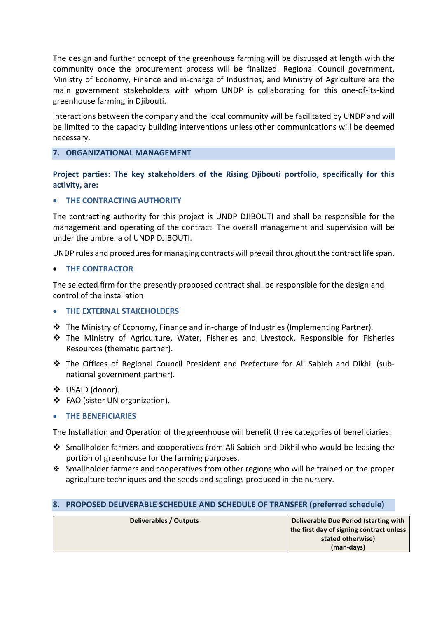The design and further concept of the greenhouse farming will be discussed at length with the community once the procurement process will be finalized. Regional Council government, Ministry of Economy, Finance and in-charge of Industries, and Ministry of Agriculture are the main government stakeholders with whom UNDP is collaborating for this one-of-its-kind greenhouse farming in Diibouti.

Interactions between the company and the local community will be facilitated by UNDP and will be limited to the capacity building interventions unless other communications will be deemed necessary.

### **7. ORGANIZATIONAL MANAGEMENT**

**Project parties: The key stakeholders of the Rising Djibouti portfolio, specifically for this activity, are:**

# • **THE CONTRACTING AUTHORITY**

The contracting authority for this project is UNDP DJIBOUTI and shall be responsible for the management and operating of the contract. The overall management and supervision will be under the umbrella of UNDP DJIBOUTI.

UNDP rules and procedures for managing contracts will prevail throughout the contract life span.

### • **THE CONTRACTOR**

The selected firm for the presently proposed contract shall be responsible for the design and control of the installation

### • **THE EXTERNAL STAKEHOLDERS**

- The Ministry of Economy, Finance and in-charge of Industries (Implementing Partner).
- The Ministry of Agriculture, Water, Fisheries and Livestock, Responsible for Fisheries Resources (thematic partner).
- The Offices of Regional Council President and Prefecture for Ali Sabieh and Dikhil (subnational government partner).
- USAID (donor).
- ❖ FAO (sister UN organization).
- **THE BENEFICIARIES**

The Installation and Operation of the greenhouse will benefit three categories of beneficiaries:

- Smallholder farmers and cooperatives from Ali Sabieh and Dikhil who would be leasing the portion of greenhouse for the farming purposes.
- \* Smallholder farmers and cooperatives from other regions who will be trained on the proper agriculture techniques and the seeds and saplings produced in the nursery.

### **8. PROPOSED DELIVERABLE SCHEDULE AND SCHEDULE OF TRANSFER (preferred schedule)**

| <b>Deliverables / Outputs</b> | Deliverable Due Period (starting with    |
|-------------------------------|------------------------------------------|
|                               | the first day of signing contract unless |
|                               | stated otherwise)                        |
|                               | (man-days)                               |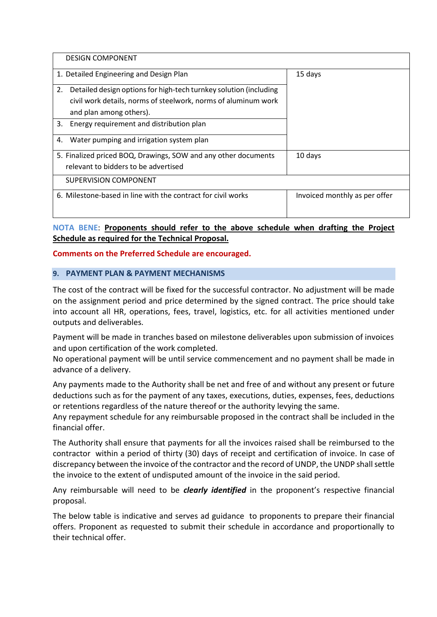| <b>DESIGN COMPONENT</b>                                                 |                               |
|-------------------------------------------------------------------------|-------------------------------|
| 1. Detailed Engineering and Design Plan                                 | 15 days                       |
| 2.<br>Detailed design options for high-tech turnkey solution (including |                               |
| civil work details, norms of steelwork, norms of aluminum work          |                               |
| and plan among others).                                                 |                               |
| 3. Energy requirement and distribution plan                             |                               |
| Water pumping and irrigation system plan<br>4.                          |                               |
| 5. Finalized priced BOQ, Drawings, SOW and any other documents          | 10 days                       |
| relevant to bidders to be advertised                                    |                               |
| <b>SUPERVISION COMPONENT</b>                                            |                               |
| 6. Milestone-based in line with the contract for civil works            | Invoiced monthly as per offer |
|                                                                         |                               |

**NOTA BENE**: **Proponents should refer to the above schedule when drafting the Project Schedule as required for the Technical Proposal.**

# **Comments on the Preferred Schedule are encouraged.**

### **9. PAYMENT PLAN & PAYMENT MECHANISMS**

The cost of the contract will be fixed for the successful contractor. No adjustment will be made on the assignment period and price determined by the signed contract. The price should take into account all HR, operations, fees, travel, logistics, etc. for all activities mentioned under outputs and deliverables.

Payment will be made in tranches based on milestone deliverables upon submission of invoices and upon certification of the work completed.

No operational payment will be until service commencement and no payment shall be made in advance of a delivery.

Any payments made to the Authority shall be net and free of and without any present or future deductions such as for the payment of any taxes, executions, duties, expenses, fees, deductions or retentions regardless of the nature thereof or the authority levying the same.

Any repayment schedule for any reimbursable proposed in the contract shall be included in the financial offer.

The Authority shall ensure that payments for all the invoices raised shall be reimbursed to the contractor within a period of thirty (30) days of receipt and certification of invoice. In case of discrepancy between the invoice of the contractor and the record of UNDP, the UNDP shall settle the invoice to the extent of undisputed amount of the invoice in the said period.

Any reimbursable will need to be *clearly identified* in the proponent's respective financial proposal.

The below table is indicative and serves ad guidance to proponents to prepare their financial offers. Proponent as requested to submit their schedule in accordance and proportionally to their technical offer.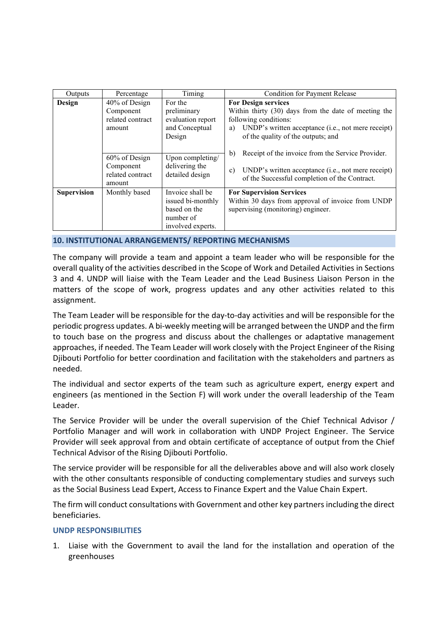| Outputs            | Percentage                                               | Timing                                                                                  | <b>Condition for Payment Release</b>                                                                                                                                                                          |
|--------------------|----------------------------------------------------------|-----------------------------------------------------------------------------------------|---------------------------------------------------------------------------------------------------------------------------------------------------------------------------------------------------------------|
| Design             | 40% of Design<br>Component<br>related contract<br>amount | For the<br>preliminary<br>evaluation report<br>and Conceptual<br>Design                 | <b>For Design services</b><br>Within thirty (30) days from the date of meeting the<br>following conditions:<br>UNDP's written acceptance (i.e., not mere receipt)<br>a)<br>of the quality of the outputs; and |
|                    | 60% of Design<br>Component<br>related contract<br>amount | Upon completing/<br>delivering the<br>detailed design                                   | Receipt of the invoice from the Service Provider.<br>b)<br>UNDP's written acceptance (i.e., not mere receipt)<br>$\mathbf{c}$<br>of the Successful completion of the Contract.                                |
| <b>Supervision</b> | Monthly based                                            | Invoice shall be<br>issued bi-monthly<br>based on the<br>number of<br>involved experts. | <b>For Supervision Services</b><br>Within 30 days from approval of invoice from UNDP<br>supervising (monitoring) engineer.                                                                                    |

### **10. INSTITUTIONAL ARRANGEMENTS/ REPORTING MECHANISMS**

The company will provide a team and appoint a team leader who will be responsible for the overall quality of the activities described in the Scope of Work and Detailed Activities in Sections 3 and 4. UNDP will liaise with the Team Leader and the Lead Business Liaison Person in the matters of the scope of work, progress updates and any other activities related to this assignment.

The Team Leader will be responsible for the day-to-day activities and will be responsible for the periodic progress updates. A bi-weekly meeting will be arranged between the UNDP and the firm to touch base on the progress and discuss about the challenges or adaptative management approaches, if needed. The Team Leader will work closely with the Project Engineer of the Rising Djibouti Portfolio for better coordination and facilitation with the stakeholders and partners as needed.

The individual and sector experts of the team such as agriculture expert, energy expert and engineers (as mentioned in the Section F) will work under the overall leadership of the Team Leader.

The Service Provider will be under the overall supervision of the Chief Technical Advisor / Portfolio Manager and will work in collaboration with UNDP Project Engineer. The Service Provider will seek approval from and obtain certificate of acceptance of output from the Chief Technical Advisor of the Rising Djibouti Portfolio.

The service provider will be responsible for all the deliverables above and will also work closely with the other consultants responsible of conducting complementary studies and surveys such as the Social Business Lead Expert, Access to Finance Expert and the Value Chain Expert.

The firm will conduct consultations with Government and other key partners including the direct beneficiaries.

### **UNDP RESPONSIBILITIES**

1. Liaise with the Government to avail the land for the installation and operation of the greenhouses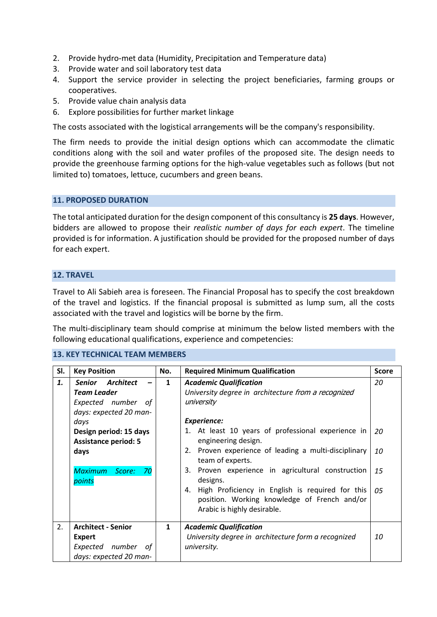- 2. Provide hydro-met data (Humidity, Precipitation and Temperature data)
- 3. Provide water and soil laboratory test data
- 4. Support the service provider in selecting the project beneficiaries, farming groups or cooperatives.
- 5. Provide value chain analysis data
- 6. Explore possibilities for further market linkage

The costs associated with the logistical arrangements will be the company's responsibility.

The firm needs to provide the initial design options which can accommodate the climatic conditions along with the soil and water profiles of the proposed site. The design needs to provide the greenhouse farming options for the high-value vegetables such as follows (but not limited to) tomatoes, lettuce, cucumbers and green beans.

### **11. PROPOSED DURATION**

The total anticipated duration for the design component of this consultancy is **25 days**. However, bidders are allowed to propose their *realistic number of days for each expert*. The timeline provided is for information. A justification should be provided for the proposed number of days for each expert.

#### **12. TRAVEL**

Travel to Ali Sabieh area is foreseen. The Financial Proposal has to specify the cost breakdown of the travel and logistics. If the financial proposal is submitted as lump sum, all the costs associated with the travel and logistics will be borne by the firm.

The multi-disciplinary team should comprise at minimum the below listed members with the following educational qualifications, experience and competencies:

#### **13. KEY TECHNICAL TEAM MEMBERS**

| SI. | <b>Key Position</b>                                                                                                                                                                               | No.          | <b>Required Minimum Qualification</b>                                                                                                                                                                                                                                                                                                                                                                                                                                                    | <b>Score</b>               |
|-----|---------------------------------------------------------------------------------------------------------------------------------------------------------------------------------------------------|--------------|------------------------------------------------------------------------------------------------------------------------------------------------------------------------------------------------------------------------------------------------------------------------------------------------------------------------------------------------------------------------------------------------------------------------------------------------------------------------------------------|----------------------------|
| 1.  | Senior Architect<br><b>Team Leader</b><br>Expected number of<br>days: expected 20 man-<br>days<br>Design period: 15 days<br><b>Assistance period: 5</b><br>days<br>Maximum Score:<br>70<br>points | 1            | <b>Academic Qualification</b><br>University degree in architecture from a recognized<br>university<br><b>Experience:</b><br>1. At least 10 years of professional experience in<br>engineering design.<br>2. Proven experience of leading a multi-disciplinary<br>team of experts.<br>3. Proven experience in agricultural construction<br>designs.<br>4. High Proficiency in English is required for this<br>position. Working knowledge of French and/or<br>Arabic is highly desirable. | 20<br>20<br>10<br>15<br>05 |
| 2.  | <b>Architect - Senior</b><br><b>Expert</b><br>Expected number of<br>days: expected 20 man-                                                                                                        | $\mathbf{1}$ | <b>Academic Qualification</b><br>University degree in architecture form a recognized<br>university.                                                                                                                                                                                                                                                                                                                                                                                      | 10                         |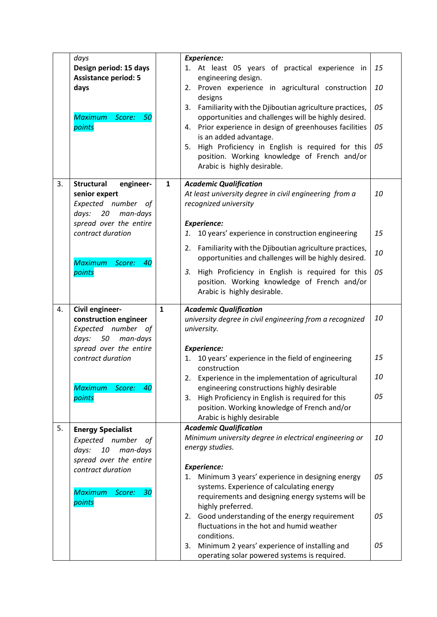|    | days                                                           |              | <b>Experience:</b>                                                                                                                    |    |
|----|----------------------------------------------------------------|--------------|---------------------------------------------------------------------------------------------------------------------------------------|----|
|    | Design period: 15 days<br><b>Assistance period: 5</b>          |              | 1. At least 05 years of practical experience in<br>engineering design.                                                                | 15 |
|    | days                                                           |              | 2. Proven experience in agricultural construction<br>designs                                                                          | 10 |
|    | <b>Maximum</b><br>Score:<br>50                                 |              | Familiarity with the Djiboutian agriculture practices,<br>3.<br>opportunities and challenges will be highly desired.                  | 05 |
|    | points                                                         |              | 4. Prior experience in design of greenhouses facilities<br>is an added advantage.                                                     | 05 |
|    |                                                                |              | High Proficiency in English is required for this<br>5.<br>position. Working knowledge of French and/or<br>Arabic is highly desirable. | 05 |
| 3. | <b>Structural</b><br>engineer-                                 | $\mathbf{1}$ | <b>Academic Qualification</b>                                                                                                         |    |
|    | senior expert<br>Expected number of<br>days:<br>20<br>man-days |              | At least university degree in civil engineering from a<br>recognized university                                                       | 10 |
|    | spread over the entire                                         |              | <b>Experience:</b>                                                                                                                    |    |
|    | contract duration                                              |              | 1. 10 years' experience in construction engineering                                                                                   | 15 |
|    | <b>Maximum</b><br>Score:<br>40                                 |              | Familiarity with the Djiboutian agriculture practices,<br>2.<br>opportunities and challenges will be highly desired.                  | 10 |
|    | points                                                         |              | 3. High Proficiency in English is required for this                                                                                   | 05 |
|    |                                                                |              | position. Working knowledge of French and/or                                                                                          |    |
|    |                                                                |              | Arabic is highly desirable.                                                                                                           |    |
|    |                                                                |              |                                                                                                                                       |    |
| 4. | Civil engineer-                                                | $\mathbf{1}$ | <b>Academic Qualification</b>                                                                                                         |    |
|    |                                                                |              |                                                                                                                                       |    |
|    | construction engineer                                          |              | university degree in civil engineering from a recognized                                                                              | 10 |
|    | Expected number of                                             |              | university.                                                                                                                           |    |
|    | days:<br>man-days<br>50                                        |              |                                                                                                                                       |    |
|    | spread over the entire                                         |              | <b>Experience:</b>                                                                                                                    | 15 |
|    | contract duration                                              |              | 1. 10 years' experience in the field of engineering<br>construction                                                                   |    |
|    |                                                                |              | 2. Experience in the implementation of agricultural                                                                                   | 10 |
|    | <b>Maximum</b><br>Score:<br>40                                 |              | engineering constructions highly desirable                                                                                            |    |
|    | points                                                         |              | 3. High Proficiency in English is required for this                                                                                   | 05 |
|    |                                                                |              | position. Working knowledge of French and/or                                                                                          |    |
|    |                                                                |              | Arabic is highly desirable                                                                                                            |    |
| 5. | <b>Energy Specialist</b>                                       |              | <b>Academic Qualification</b>                                                                                                         |    |
|    | Expected number of                                             |              | Minimum university degree in electrical engineering or                                                                                | 10 |
|    | man-days<br>days:<br>10                                        |              | energy studies.                                                                                                                       |    |
|    | spread over the entire                                         |              |                                                                                                                                       |    |
|    | contract duration                                              |              | <b>Experience:</b><br>1. Minimum 3 years' experience in designing energy                                                              | 05 |
|    |                                                                |              | systems. Experience of calculating energy                                                                                             |    |
|    | <b>Maximum</b><br>30<br>Score:                                 |              | requirements and designing energy systems will be                                                                                     |    |
|    | points                                                         |              | highly preferred.                                                                                                                     |    |
|    |                                                                |              | 2. Good understanding of the energy requirement                                                                                       | 05 |
|    |                                                                |              | fluctuations in the hot and humid weather                                                                                             |    |
|    |                                                                |              | conditions.<br>Minimum 2 years' experience of installing and<br>3.                                                                    | 05 |